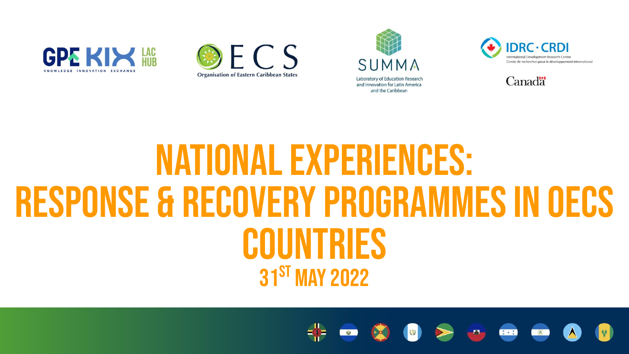









#### National Experiences: RESPONSE & recovery programmes in OECS countries 31st May 2022

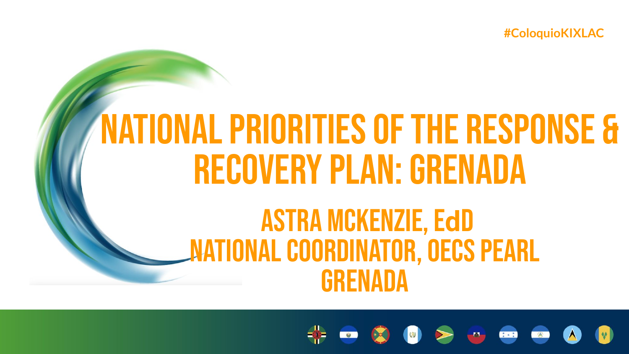# **NATIONAL PRIORITIES OF THE RESPONSE & RECOVERY PLAN: GRENADA**

#### **ASTRA MCKENZIE, EdD MATIONAL COORDINATOR, OECS PEARL GRENADA**

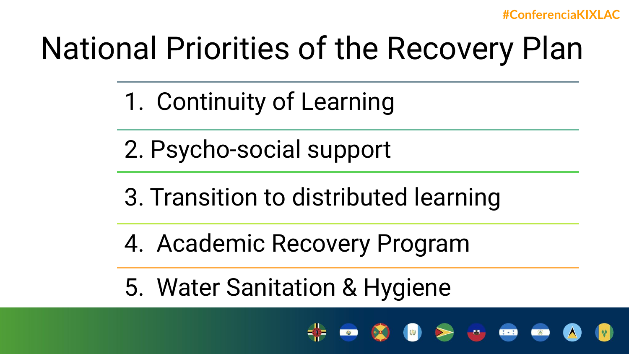## National Priorities of the Recovery Plan

- 1. Continuity of Learning
- 2. Psycho-social support
- 3. Transition to distributed learning
- 4. Academic Recovery Program
- 5. Water Sanitation & Hygiene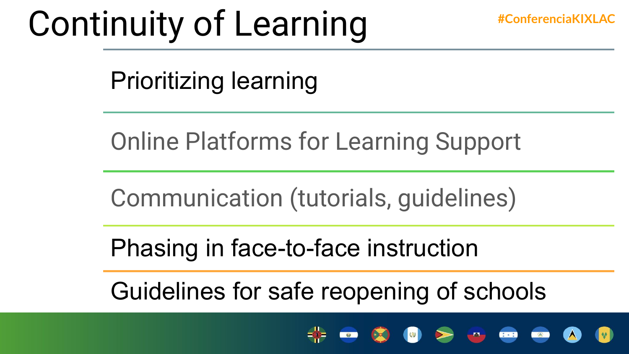#### Continuity of Learning **#ConferenciaKIXLAC**

Prioritizing learning

Online Platforms for Learning Support

Communication (tutorials, guidelines)

Phasing in face-to-face instruction

Guidelines for safe reopening of schools

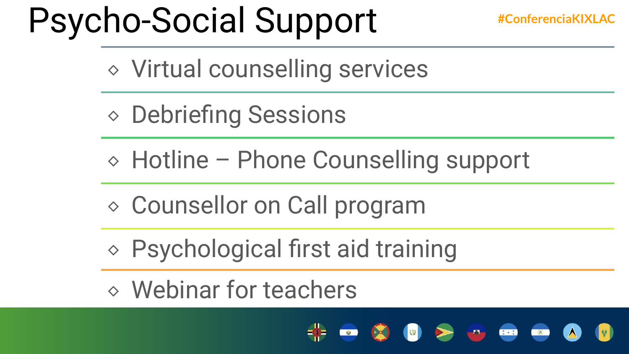## Psycho-Social Support **#ConferenciaKIXLAC**

⬥ Virtual counselling services

- ⬥ Debriefing Sessions
- ⬥ Hotline Phone Counselling support
- ⬥ Counsellor on Call program
- ⬥ Psychological first aid training
- ⬥ Webinar for teachers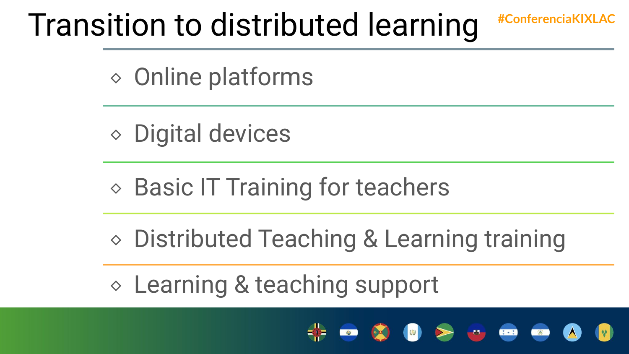#### Transition to distributed learning **#ConferenciaKIXLAC**

⬥ Online platforms

⬥ Digital devices

**◇ Basic IT Training for teachers** 

⬥ Distributed Teaching & Learning training

⬥ Learning & teaching support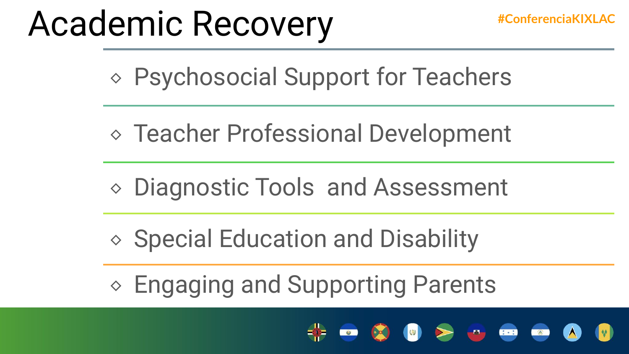#### Academic Recovery **#ConferenciaKIXLAC**

⬥ Psychosocial Support for Teachers

- ⬥ Teacher Professional Development
- ⬥ Diagnostic Tools and Assessment
- ⬥ Special Education and Disability
- ⬥ Engaging and Supporting Parents

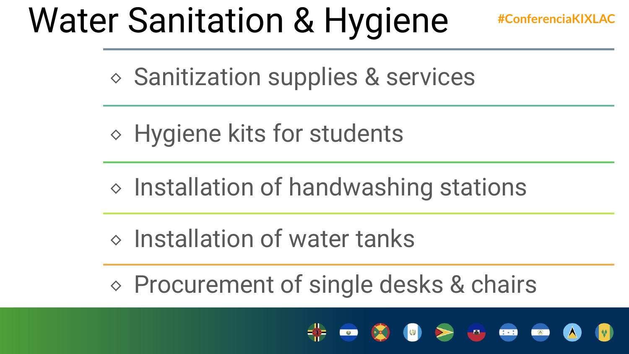## Water Sanitation & Hygiene **#ConferenciaKIXLAC**

⬥ Sanitization supplies & services

⬥ Hygiene kits for students

- ⬥ Installation of handwashing stations
- $\Diamond$  Installation of water tanks

⬥ Procurement of single desks & chairs

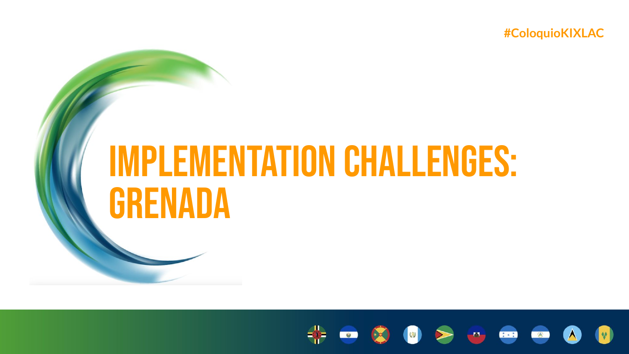# **IMPLEMENTATION CHALLENGES: GRENADA**

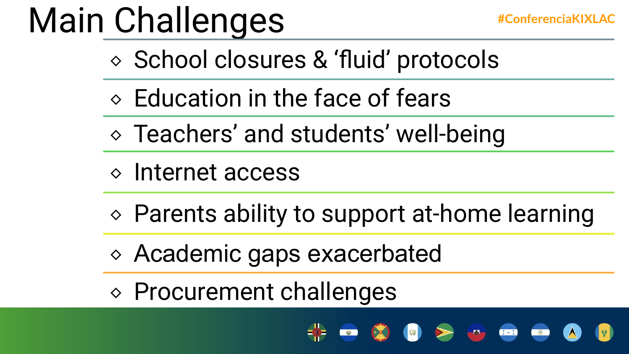# Main Challenges **#ConferenciaKIXLAC**

- ⬥ School closures & 'fluid' protocols
- $\Diamond$  Education in the face of fears
- ⬥ Teachers' and students' well-being
- ⬥ Internet access
- ⬥ Parents ability to support at-home learning
- ⬥ Academic gaps exacerbated
- ⬥ Procurement challenges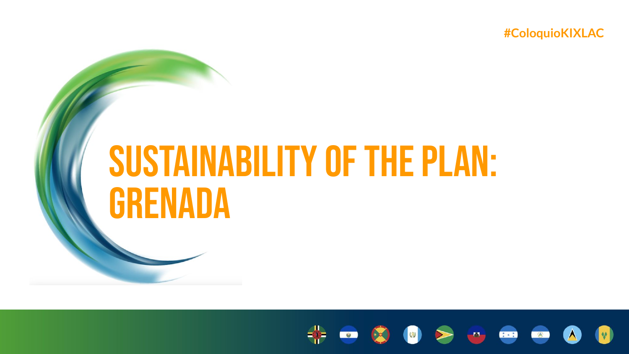# **SUSTAINABILITY OF THE PLAN: GRENADA**

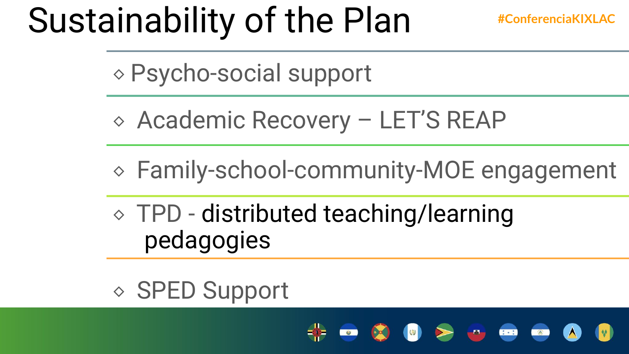## Sustainability of the Plan **#ConferenciaKIXLAC**

⬥ Psycho-social support

- ⬥ Academic Recovery LET'S REAP
- ⬥ Family-school-community-MOE engagement
- ⬥ TPD distributed teaching/learning pedagogies

#### ⬥ SPED Support